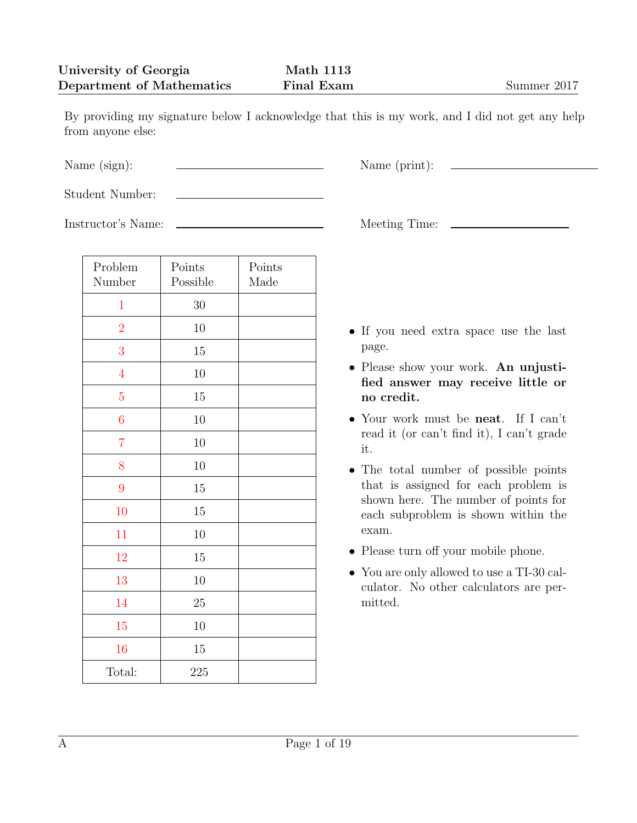By providing my signature below I acknowledge that this is my work, and I did not get any help from anyone else:

Student Number:

Instructor's Name: Meeting Time:

| Problem<br>Number | Points<br>Possible | Points<br>Made |
|-------------------|--------------------|----------------|
| $\mathbf{1}$      | $30\,$             |                |
| $\overline{2}$    | $10\,$             |                |
| 3                 | 15                 |                |
| $\overline{4}$    | $10\,$             |                |
| $\overline{5}$    | 15                 |                |
| $\overline{6}$    | $10\,$             |                |
| $\overline{7}$    | $10\,$             |                |
| 8                 | 10                 |                |
| 9                 | $15\,$             |                |
| 10                | 15                 |                |
| 11                | $10\,$             |                |
| 12                | $15\,$             |                |
| 13                | 10                 |                |
| 14                | 25                 |                |
| 15                | 10                 |                |
| 16                | 15                 |                |
| Total:            | 225                |                |

Name (sign):  $\qquad \qquad \qquad$  Name (print):

- *•* If you need extra space use the last page.
- *•* Please show your work. **An unjustified answer may receive little or no credit.**
- *•* Your work must be **neat**. If I can't read it (or can't find it), I can't grade it.
- *•* The total number of possible points that is assigned for each problem is shown here. The number of points for each subproblem is shown within the exam.
- *•* Please turn off your mobile phone.
- *•* You are only allowed to use a TI-30 calculator. No other calculators are permitted.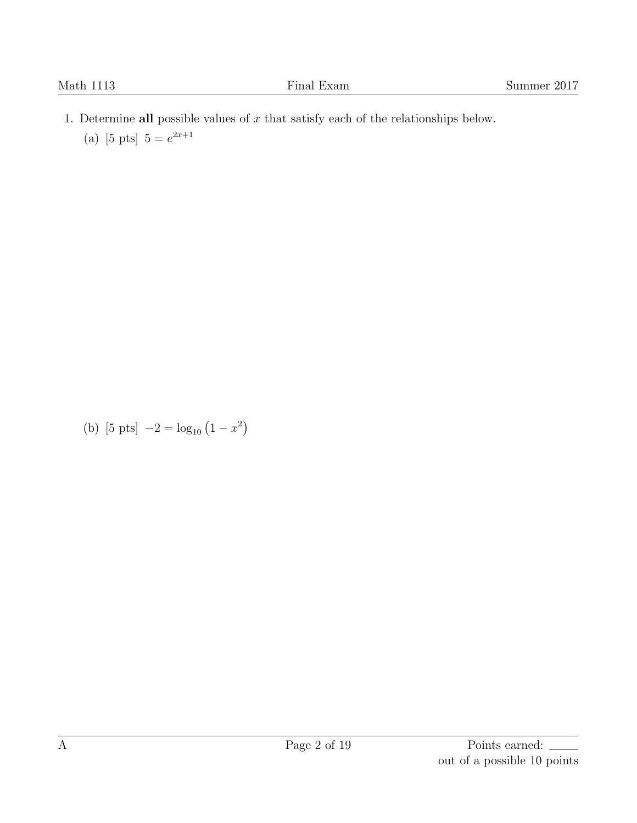- <span id="page-1-0"></span>1. Determine **all** possible values of *x* that satisfy each of the relationships below.
	- (a) [5 pts]  $5 = e^{2x+1}$

(b) [5 pts]  $-2 = \log_{10} (1 - x^2)$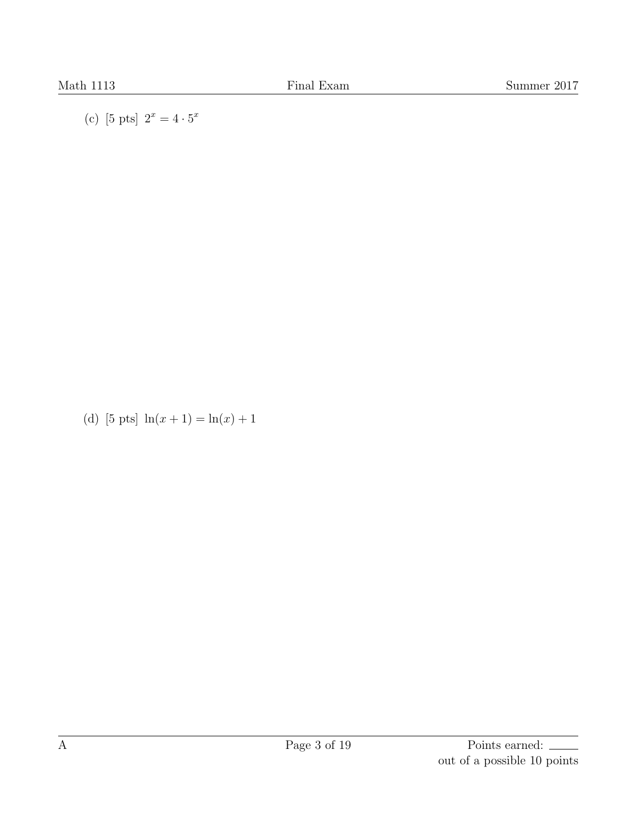(c) [5 pts]  $2^x = 4 \cdot 5^x$ 

(d) [5 pts]  $\ln(x + 1) = \ln(x) + 1$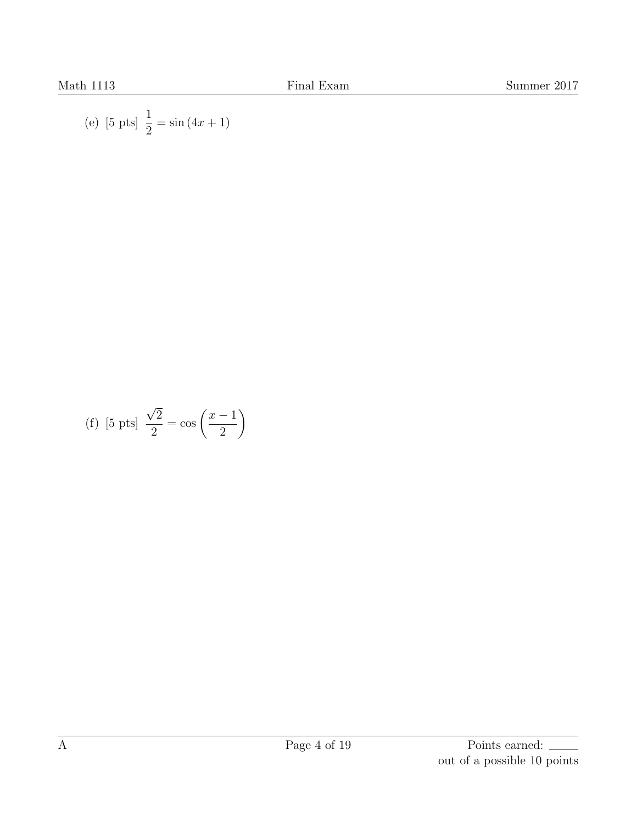(e) [5 pts] 
$$
\frac{1}{2} = \sin(4x + 1)
$$

(f) [5 pts] 
$$
\frac{\sqrt{2}}{2} = \cos\left(\frac{x-1}{2}\right)
$$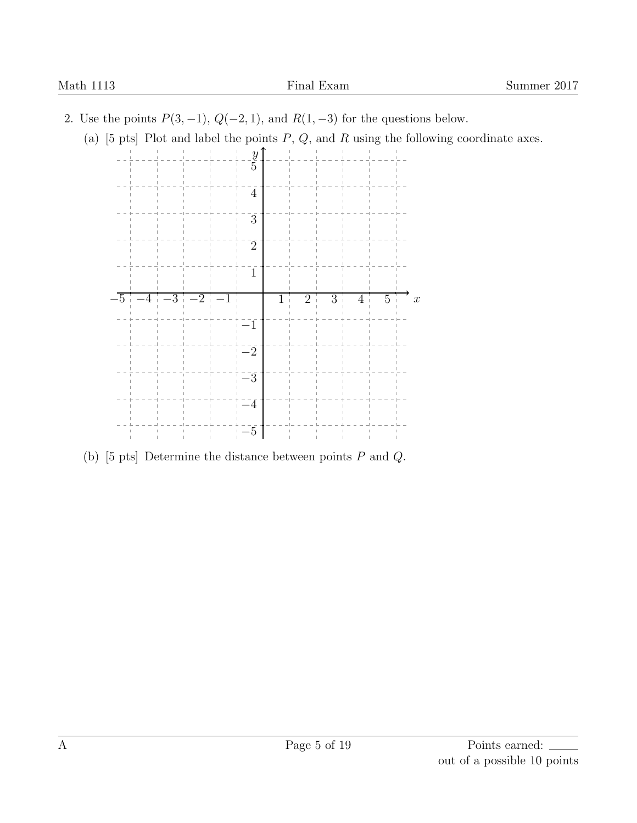- <span id="page-4-0"></span>2. Use the points *P*(3*, −*1), *Q*(*−*2*,* 1), and *R*(1*, −*3) for the questions below.
	- (a) [5 pts] Plot and label the points *P*, *Q*, and *R* using the following coordinate axes.



(b) [5 pts] Determine the distance between points *P* and *Q*.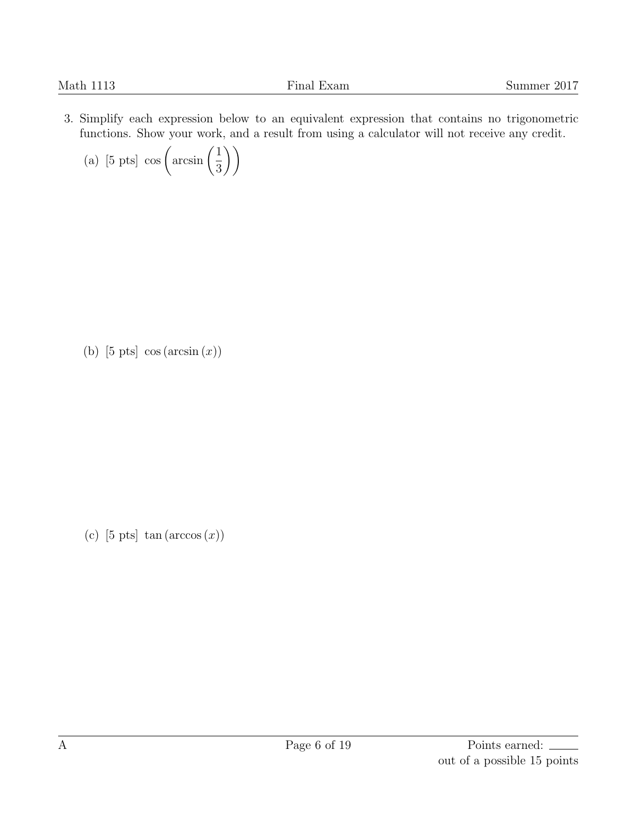<span id="page-5-0"></span>3. Simplify each expression below to an equivalent expression that contains no trigonometric functions. Show your work, and a result from using a calculator will not receive any credit.

(a) [5 pts] 
$$
\cos\left(\arcsin\left(\frac{1}{3}\right)\right)
$$

(b) [5 pts] cos (arcsin (*x*))

(c)  $[5 \text{ pts}] \tan(\arccos(x))$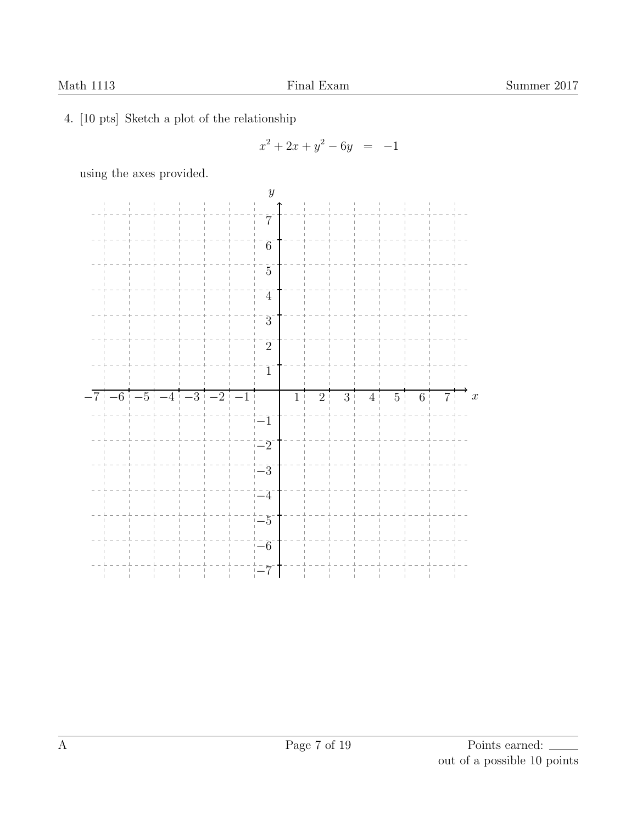<span id="page-6-0"></span>4. [10 pts] Sketch a plot of the relationship

$$
x^2 + 2x + y^2 - 6y = -1
$$

using the axes provided.

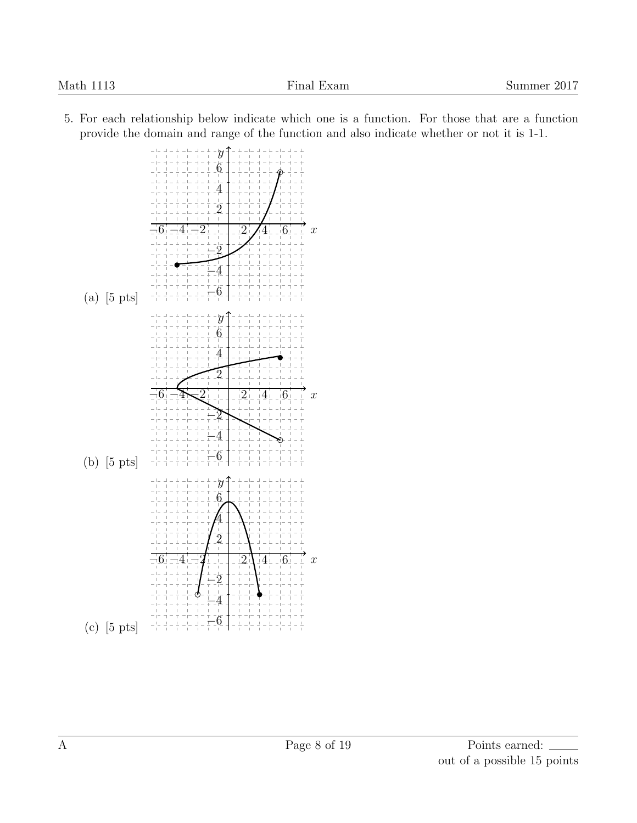

<span id="page-7-0"></span>5. For each relationship below indicate which one is a function. For those that are a function provide the domain and range of the function and also indicate whether or not it is 1-1.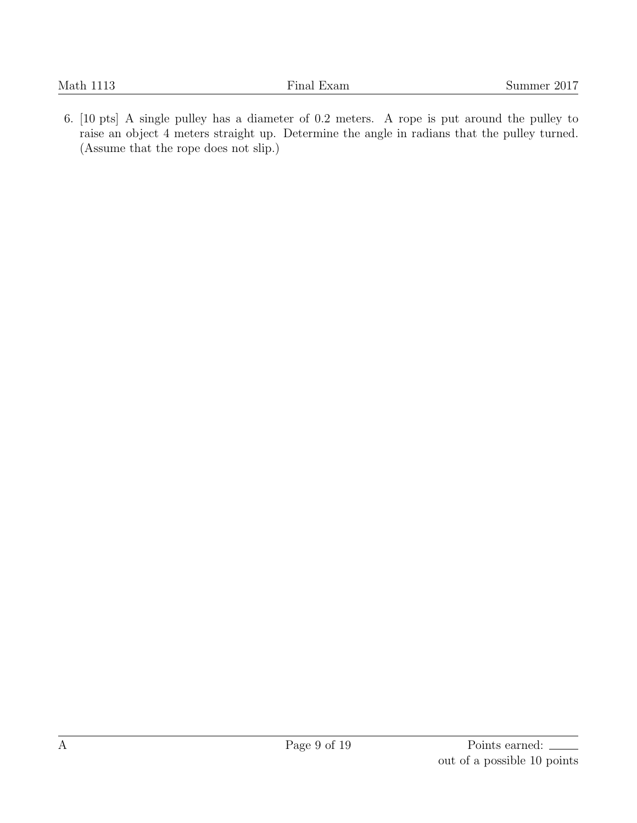<span id="page-8-0"></span>6. [10 pts] A single pulley has a diameter of 0.2 meters. A rope is put around the pulley to raise an object 4 meters straight up. Determine the angle in radians that the pulley turned. (Assume that the rope does not slip.)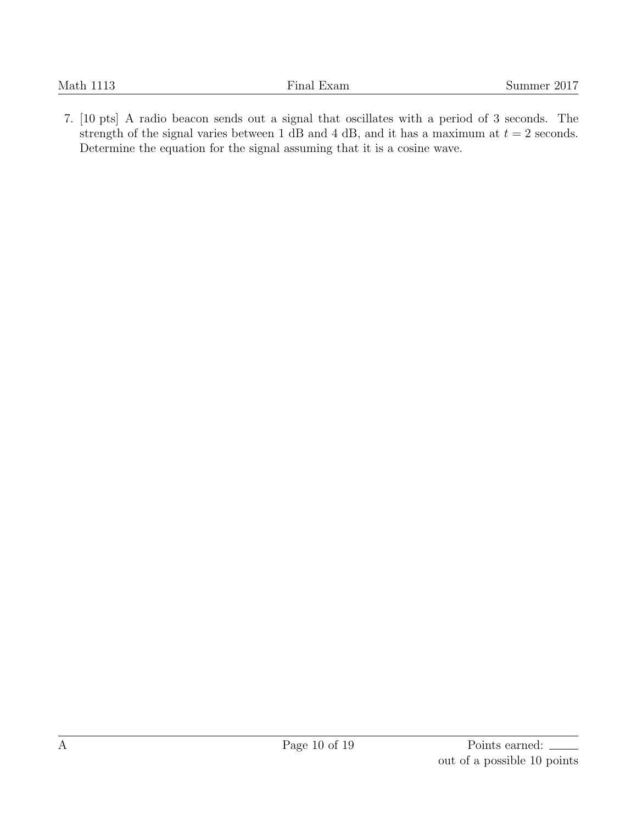<span id="page-9-0"></span>7. [10 pts] A radio beacon sends out a signal that oscillates with a period of 3 seconds. The strength of the signal varies between 1 dB and 4 dB, and it has a maximum at  $t = 2$  seconds. Determine the equation for the signal assuming that it is a cosine wave.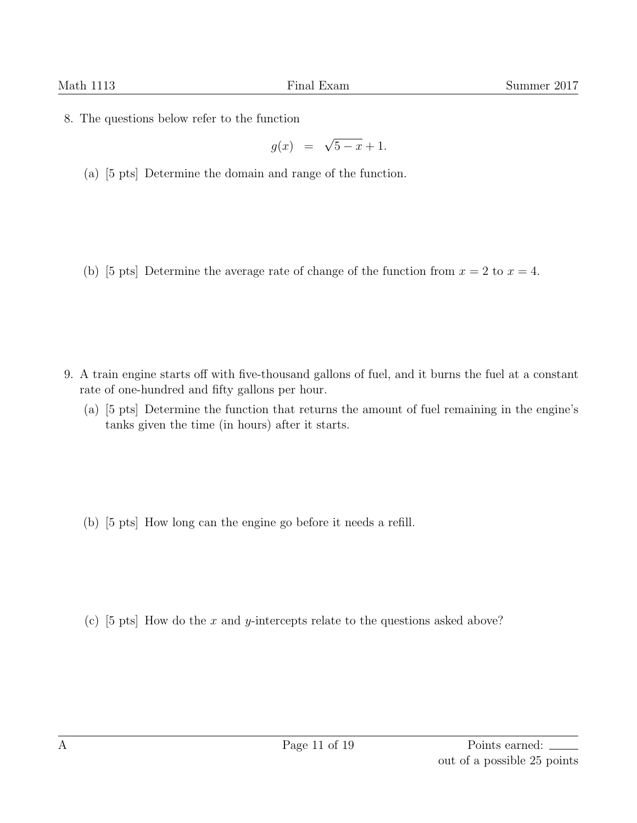<span id="page-10-0"></span>8. The questions below refer to the function

$$
g(x) = \sqrt{5-x} + 1.
$$

(a) [5 pts] Determine the domain and range of the function.

(b) [5 pts] Determine the average rate of change of the function from  $x = 2$  to  $x = 4$ .

- <span id="page-10-1"></span>9. A train engine starts off with five-thousand gallons of fuel, and it burns the fuel at a constant rate of one-hundred and fifty gallons per hour.
	- (a) [5 pts] Determine the function that returns the amount of fuel remaining in the engine's tanks given the time (in hours) after it starts.

(b) [5 pts] How long can the engine go before it needs a refill.

(c) [5 pts] How do the *x* and *y*-intercepts relate to the questions asked above?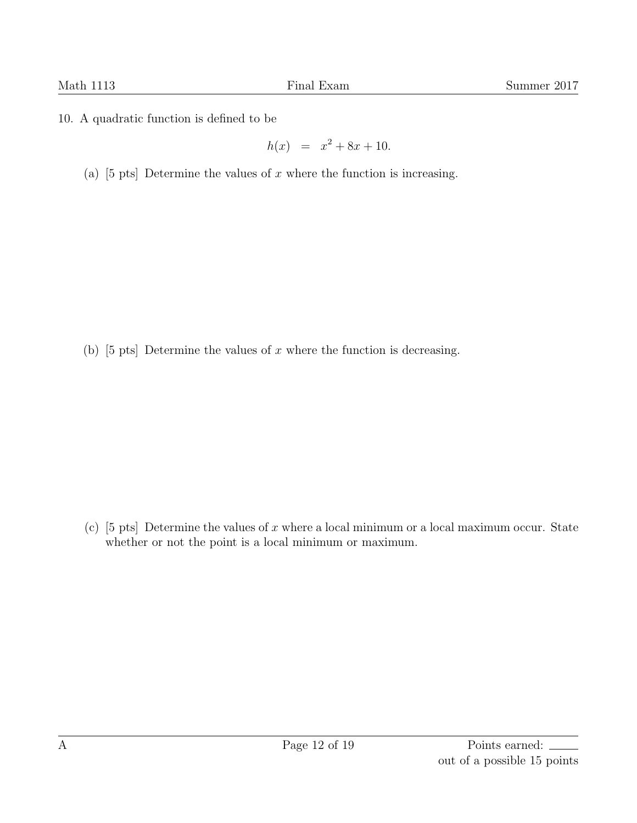<span id="page-11-0"></span>10. A quadratic function is defined to be

$$
h(x) = x^2 + 8x + 10.
$$

(a) [5 pts] Determine the values of *x* where the function is increasing.

(b) [5 pts] Determine the values of *x* where the function is decreasing.

(c) [5 pts] Determine the values of *x* where a local minimum or a local maximum occur. State whether or not the point is a local minimum or maximum.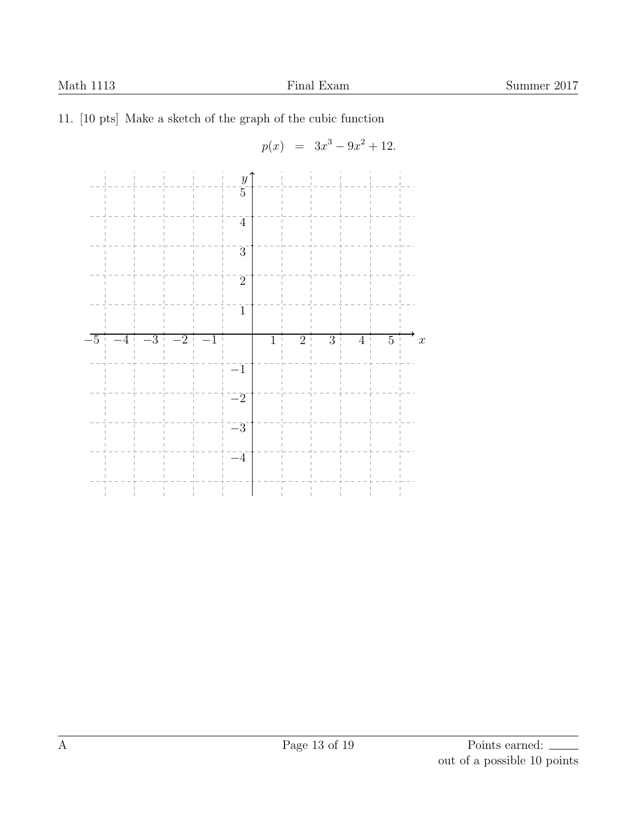## <span id="page-12-0"></span>11. [10 pts] Make a sketch of the graph of the cubic function

$$
p(x) = 3x^3 - 9x^2 + 12.
$$

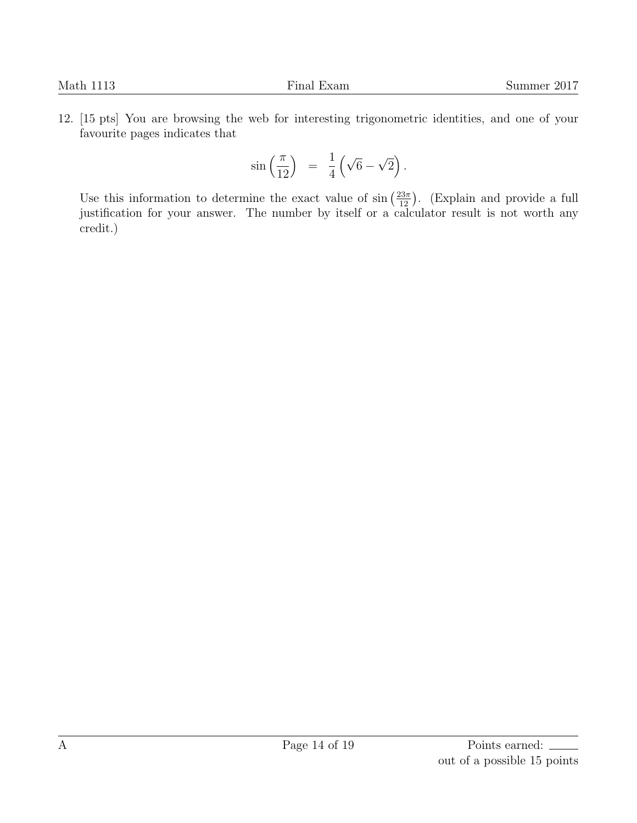<span id="page-13-0"></span>12. [15 pts] You are browsing the web for interesting trigonometric identities, and one of your favourite pages indicates that

$$
\sin\left(\frac{\pi}{12}\right) = \frac{1}{4}\left(\sqrt{6}-\sqrt{2}\right).
$$

Use this information to determine the exact value of  $\sin\left(\frac{23\pi}{12}\right)$ . (Explain and provide a full justification for your answer. The number by itself or a calculator result is not worth any credit.)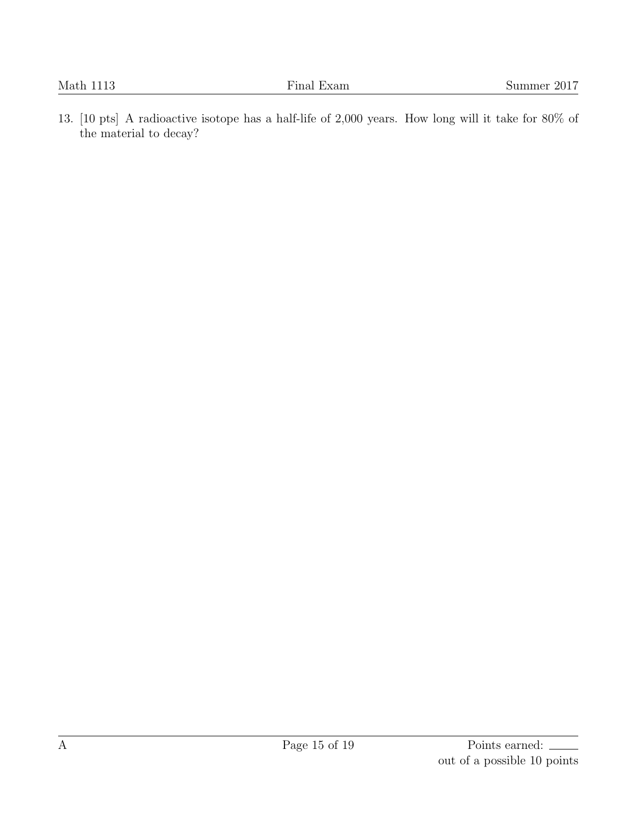<span id="page-14-0"></span>13. [10 pts] A radioactive isotope has a half-life of 2,000 years. How long will it take for 80% of the material to decay?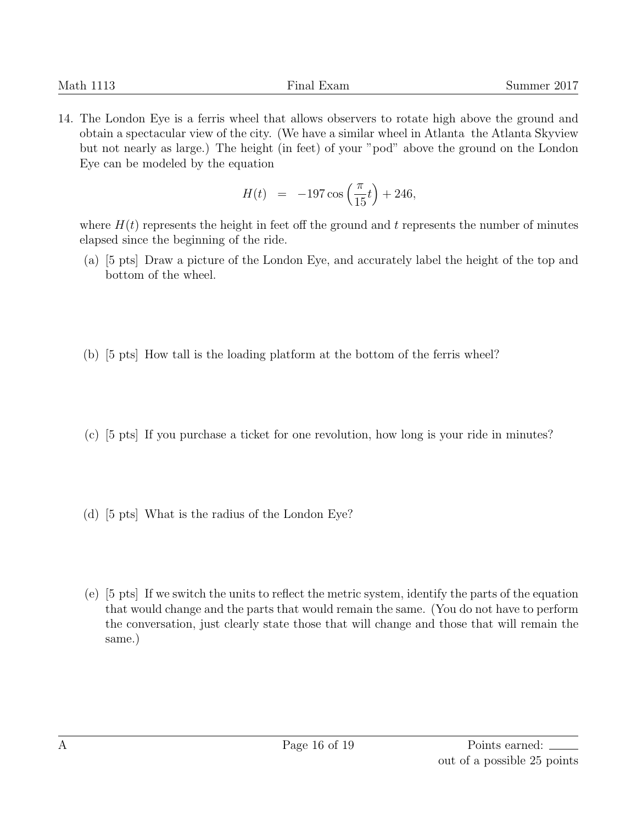<span id="page-15-0"></span>14. The London Eye is a ferris wheel that allows observers to rotate high above the ground and obtain a spectacular view of the city. (We have a similar wheel in Atlanta the Atlanta Skyview but not nearly as large.) The height (in feet) of your "pod" above the ground on the London Eye can be modeled by the equation

$$
H(t) = -197 \cos\left(\frac{\pi}{15}t\right) + 246,
$$

where  $H(t)$  represents the height in feet off the ground and  $t$  represents the number of minutes elapsed since the beginning of the ride.

- (a) [5 pts] Draw a picture of the London Eye, and accurately label the height of the top and bottom of the wheel.
- (b) [5 pts] How tall is the loading platform at the bottom of the ferris wheel?
- (c) [5 pts] If you purchase a ticket for one revolution, how long is your ride in minutes?
- (d) [5 pts] What is the radius of the London Eye?
- (e) [5 pts] If we switch the units to reflect the metric system, identify the parts of the equation that would change and the parts that would remain the same. (You do not have to perform the conversation, just clearly state those that will change and those that will remain the same.)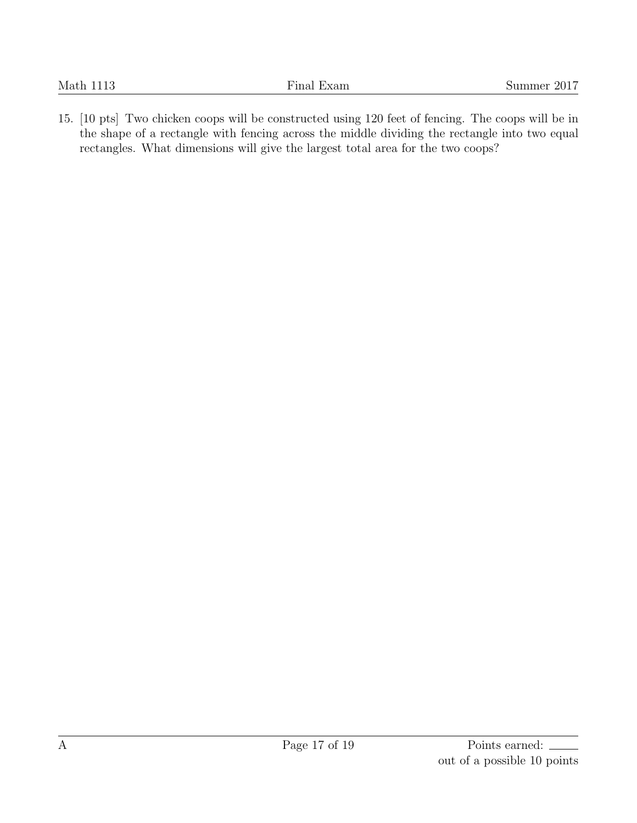<span id="page-16-0"></span>15. [10 pts] Two chicken coops will be constructed using 120 feet of fencing. The coops will be in the shape of a rectangle with fencing across the middle dividing the rectangle into two equal rectangles. What dimensions will give the largest total area for the two coops?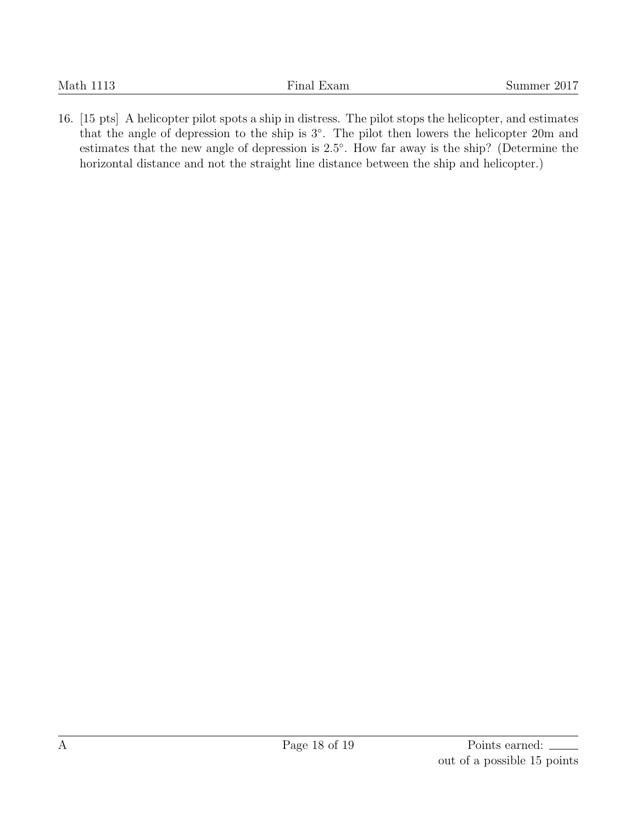<span id="page-17-0"></span>16. [15 pts] A helicopter pilot spots a ship in distress. The pilot stops the helicopter, and estimates that the angle of depression to the ship is 3*◦* . The pilot then lowers the helicopter 20m and estimates that the new angle of depression is 2*.*5 *◦* . How far away is the ship? (Determine the horizontal distance and not the straight line distance between the ship and helicopter.)